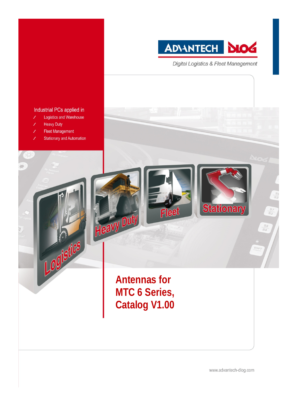

**Digital Logistics & Fleet Management** 

**Stationary** 

Fleet

**Antennas for** 

MTC 6 Series,

**Catalog V1.00** 

 $rac{S}{S3}$ 

 $rac{Sg}{S4}$ 

#### Industrial PCs applied in

- Logistics and Warehouse
- **Heavy Duty**
- **Fleet Management**
- **Stationary and Automation**

Logistics

Heavy Dut

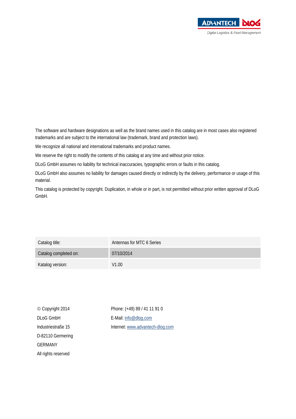

The software and hardware designations as well as the brand names used in this catalog are in most cases also registered trademarks and are subject to the international law (trademark, brand and protection laws).

We recognize all national and international trademarks and product names.

We reserve the right to modify the contents of this catalog at any time and without prior notice.

DLoG GmbH assumes no liability for technical inaccuracies, typographic errors or faults in this catalog.

DLoG GmbH also assumes no liability for damages caused directly or indirectly by the delivery, performance or usage of this material.

This catalog is protected by copyright. Duplication, in whole or in part, is not permitted without prior written approval of DLoG GmbH.

| Catalog title:        | Antennas for MTC 6 Series |
|-----------------------|---------------------------|
| Catalog completed on: | 07/10/2014                |
| Katalog version:      | V1.00                     |

| © Copyright 2014    |
|---------------------|
| <b>DLoG GmbH</b>    |
| Industriestraße 15  |
| D-82110 Germering   |
| <b>GERMANY</b>      |
| All rights reserved |

Phone: (+49) 89 / 41 11 91 0 E-Mail: [info@dlog.com](mailto:info@dlog.com) Internet[: www.advantech-dlog.com](http://www.advantech-dlog.com/)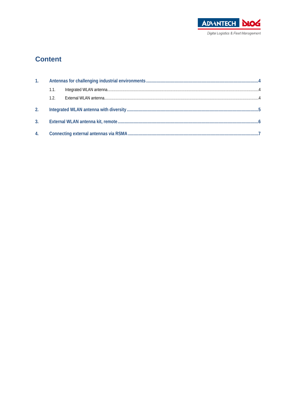

### **Content**

| 1 <sub>1</sub> |      |  |  |
|----------------|------|--|--|
|                | 1.1. |  |  |
|                | 1.2. |  |  |
| 2 <sub>1</sub> |      |  |  |
| 3.             |      |  |  |
| 4.             |      |  |  |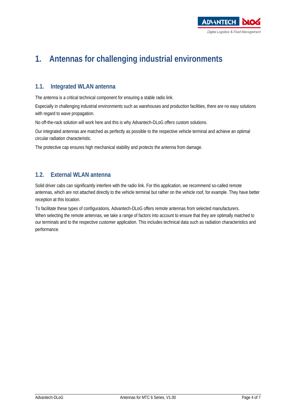

## <span id="page-3-0"></span>**1. Antennas for challenging industrial environments**

#### <span id="page-3-1"></span>**1.1. Integrated WLAN antenna**

The antenna is a critical technical component for ensuring a stable radio link.

Especially in challenging industrial environments such as warehouses and production facilities, there are no easy solutions with regard to wave propagation.

No off-the-rack solution will work here and this is why Advantech-DLoG offers custom solutions.

Our integrated antennas are matched as perfectly as possible to the respective vehicle terminal and achieve an optimal circular radiation characteristic.

The protective cap ensures high mechanical stability and protects the antenna from damage.

#### <span id="page-3-2"></span>**1.2. External WLAN antenna**

Solid driver cabs can significantly interfere with the radio link. For this application, we recommend so-called remote antennas, which are not attached directly to the vehicle terminal but rather on the vehicle roof, for example. They have better reception at this location.

To facilitate these types of configurations, Advantech-DLoG offers remote antennas from selected manufacturers. When selecting the remote antennas, we take a range of factors into account to ensure that they are optimally matched to our terminals and to the respective customer application. This includes technical data such as radiation characteristics and performance.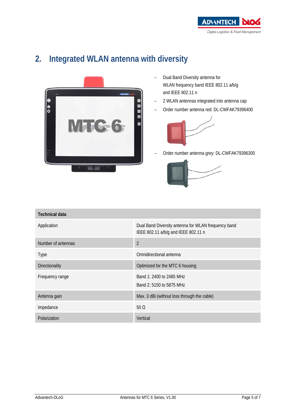

### <span id="page-4-0"></span>**2. Integrated WLAN antenna with diversity**



- − Dual Band Diversity antenna for WLAN frequency band IEEE 802.11 a/b/g and IEEE 802.11 n
- − 2 WLAN antennas integrated into antenna cap
- − Order number antenna red: DL-CWFAK79396400



Order number antenna grey: DL-CWFAK79396300



| <b>Technical data</b> |                                                                                            |  |
|-----------------------|--------------------------------------------------------------------------------------------|--|
| Application           | Dual Band Diversity antenna for WLAN frequency band<br>IEEE 802.11 a/b/g and IEEE 802.11 n |  |
| Number of antennas    | $\overline{2}$                                                                             |  |
| Type                  | Omnidirectional antenna                                                                    |  |
| <b>Directionality</b> | Optimized for the MTC 6 housing                                                            |  |
| Frequency range       | Band 1: 2400 to 2485 MHz<br>Band 2: 5150 to 5875 MHz                                       |  |
| Antenna gain          | Max. 3 dBi (without loss through the cable)                                                |  |
| Impedance             | 50 $\Omega$                                                                                |  |
| Polarization          | Vertical                                                                                   |  |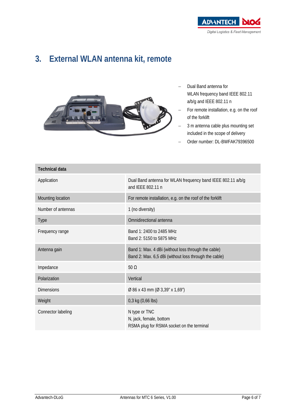

### <span id="page-5-0"></span>**3. External WLAN antenna kit, remote**



- − Dual Band antenna for WLAN frequency band IEEE 802.11 a/b/g and IEEE 802.11 n
- For remote installation, e.g. on the roof of the forklift
- 3 m antenna cable plus mounting set included in the scope of delivery
- Order number: DL-BWFAK79396500

| <b>Technical data</b> |                                                                                                              |
|-----------------------|--------------------------------------------------------------------------------------------------------------|
| Application           | Dual Band antenna for WLAN frequency band IEEE 802.11 a/b/g<br>and IEEE 802.11 n                             |
| Mounting location     | For remote installation, e.g. on the roof of the forklift                                                    |
| Number of antennas    | 1 (no diversity)                                                                                             |
| <b>Type</b>           | Omnidirectional antenna                                                                                      |
| Frequency range       | Band 1: 2400 to 2485 MHz<br>Band 2: 5150 to 5875 MHz                                                         |
| Antenna gain          | Band 1: Max. 4 dBi (without loss through the cable)<br>Band 2: Max. 6,5 dBi (without loss through the cable) |
| Impedance             | $50 \Omega$                                                                                                  |
| Polarization          | Vertical                                                                                                     |
| <b>Dimensions</b>     | Ø 86 x 43 mm (Ø 3,39" x 1,69")                                                                               |
| Weight                | 0,3 kg (0,66 lbs)                                                                                            |
| Connector labeling    | N type or TNC<br>N, jack, female, bottom<br>RSMA plug for RSMA socket on the terminal                        |